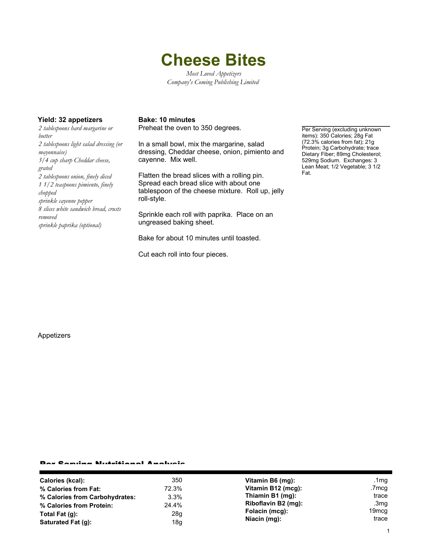# **Cheese Bites**

*Most Loved Appetizers Company's Coming Publishing Limited*

### **Yield: 32 appetizers Bake: 10 minutes**

*2 tablespoons hard margarine or butter 2 tablespoons light salad dressing (or mayonnaise) 3/4 cup sharp Cheddar cheese, grated 2 tablespoons onion, finely diced 1 1/2 teaspoons pimiento, finely chopped sprinkle cayenne pepper 8 slices white sandwich bread, crusts removed sprinkle paprika (optional)*

Preheat the oven to 350 degrees.

In a small bowl, mix the margarine, salad dressing, Cheddar cheese, onion, pimiento and cayenne. Mix well.

Flatten the bread slices with a rolling pin. Spread each bread slice with about one tablespoon of the cheese mixture. Roll up, jelly roll-style.

Sprinkle each roll with paprika. Place on an ungreased baking sheet.

Bake for about 10 minutes until toasted.

Cut each roll into four pieces.

Per Serving (excluding unknown items): 350 Calories; 28g Fat (72.3% calories from fat); 21g Protein; 3g Carbohydrate; trace Dietary Fiber; 89mg Cholesterol; 529mg Sodium. Exchanges: 3 Lean Meat; 1/2 Vegetable; 3 1/2 Fat.

#### Appetizers

#### Per Serving Nutritional Analysis

| Calories (kcal):               | 350   | Vitamin B6 (mg):               | .1 $mg$           |
|--------------------------------|-------|--------------------------------|-------------------|
| % Calories from Fat:           | 72.3% | Vitamin B12 (mcg):             | .7mcg             |
| % Calories from Carbohydrates: | 3.3%  | Thiamin B1 (mg):               | trace             |
| % Calories from Protein:       | 24.4% | Riboflavin B2 (mg):            | .3mg              |
| Total Fat $(q)$ :              | 28g   | Folacin (mcg):<br>Niacin (mg): | 19 <sub>mcq</sub> |
| Saturated Fat (g):             | 18g   |                                | trace             |